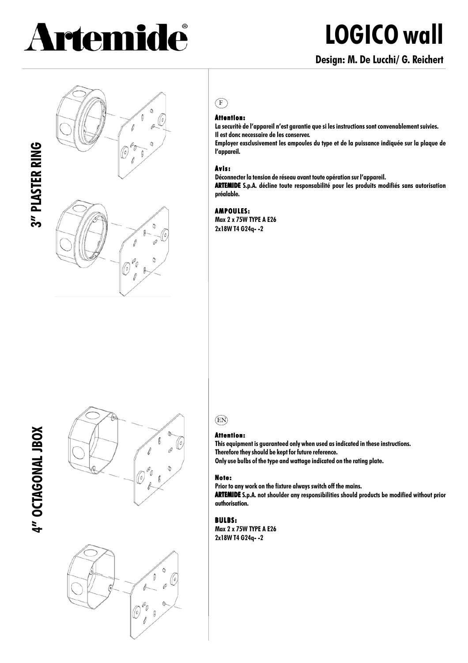# Artemide

# **LOGICO wall**

## **Design: M. De Lucchi/ G. Reichert**







## $(F)$

**Attention: Attention: La securitè de l'appareil n'est garantie que si les instructions sont convenablement suivies.**

**Il est donc necessaire de les conserver.**

**Employer exsclusivement les ampoules du type et de la puissance indiquée sur la plaque de l'appareil.**

#### **Avis:**

**Déconnecter la tension de réseau avant toute opération sur l'appareil.**

**ARTEMIDE** S.p.A. décline toute responsabilité pour les produits modifiés sans autorisation **préalable.**

#### **AMPOULES: AMPOULES:**

**Max 2 x 75W TYPE A E26 2x18W T4 G24q- -2**

# 4" OCTAGONAL JBOX **4" OCTAGONAL JBOX**





# EN

#### **Attention: Attention:**

**This equipment is guaranteed only when used as indicated in these instructions. Therefore they should be kept for future reference. Only use bulbs of the type and wattage indicated on the rating plate.**

#### **Note:**

**Prior to any work on the fixture always switch off the mains.**

**ARTEMIDE** S.p.A. not shoulder any responsibilities should products be modified without prior **authorisation.**

#### **BULBS:**

**Max 2 x 75W TYPE A E26 2x18W T4 G24q- -2**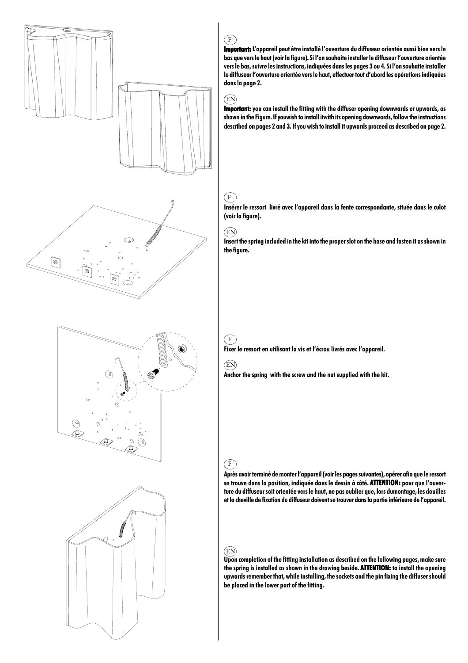

**Important: L Important: 'appareil peut être installé l'ouverture du diffuseur orientée aussi bien vers le bas que vers le haut (voir la figure). Si l'on souhaite installer le diffuseur l'ouverture orientée vers le bas, suivre les instructions, indiquées dans les pages 3 ou 4. Si l'on souhaite installer le diffuseur l'ouverture orientée vers le haut, effectuer tout d'abord les opérations indiquées dans la page 2.**

#### EN

F

**Important:** you can install the fitting with the diffuser opening downwards or upwards, as **shown in the Figure. If youwish to install itwith its opening downwards, follow the instructions described on pages 2 and 3. If you wish to install it upwards proceed as described on page 2.**

### $(F)$

**Insérer le ressort livré avec l'appareil dans la fente correspondante, située dans le culot (voir la figure).**

#### EN

**Insert the spring included in the kit into the proper slot on the base and fasten it as shown in the figure.**

**Fixer le ressort en utilisant la vis et l'écrou livrés avec l'appareil.**

**Anchor the spring with the screw and the nut supplied with the kit.**

**Après avoir terminé de monter l'appareil (voir les pages suivantes), opérer afin que le ressort** se trouve dans la position, indiquée dans le dessin à côté. **ATTENTION:** pour que l'ouver**ture du diffuseur soit orientée vers le haut, ne pas oublier que, lors dumontage, les douilles et la cheville de fixation du diffuseur doivent se trouver dans la partie inférieure de l'appareil.**

#### EN

**Upon completion of the fitting installation as described on the following pages, make sure** the spring is installed as shown in the drawing beside. **ATTENTION:** to install the opening **upwards remember that, while installing, the sockets and the pin fixing the diffuser should be placed in the lower part of the fitting.**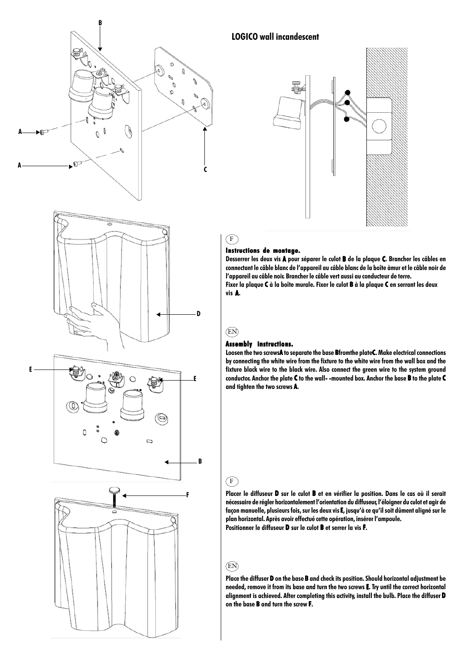







#### **LOGICO wall incandescent**



#### **Instructions de montage. Instructions de montage.**

Desserrer les deux vis **A** pour séparer le culot **B** de la plaque C. Brancher les câbles en **connectant le câble blanc de l'appareil au câble blanc de la boîte àmur et le câble noir de l'appareil au câble noir. Brancher le câble vert aussi au conducteur de terre.** Fixer la plaque C à la boîte murale. Fixer le culot **B** à la plaque C en serrant les deux **vis A.**

#### EN

 $(F)$ 

#### **Assembly instructions. instructions.**

Loosen the two screwsA to separate the base Bfromthe plateC. Make electrical connections **by connecting the white wire from the fixture to the white wire from the wall box and the fixture black wire to the black wire. Also connect the green wire to the system ground** conductor. Anchor the plate C to the wall--mounted box. Anchor the base **B** to the plate C **and tighten the two screws A.**

#### $\binom{F}{F}$

**Placer le diffuseur D sur le culot B et en vérifier la position. Dans le cas où il serait nécessaire de régler horizontalement l'orientation du diffuseur, l'éloigner du culot et agir de façon manuelle, plusieurs fois, sur les deux vis E, jusqu'à ce qu'il soit dûment aligné sur le E plan horizontal. Après avoir effectué cette opération, insérer l'ampoule. Positionner le diffuseur D sur le culot B et serrer la vis F.**

#### EN

**Place the diffuser D on the base B and check its position. Should horizontal adjustment be needed, remove it from its base and turn the two screws E. Try until the correct horizontal E alignment is achieved. After completing this activity, install the bulb. Place the diffuser D** on the base **B** and turn the screw **F**.